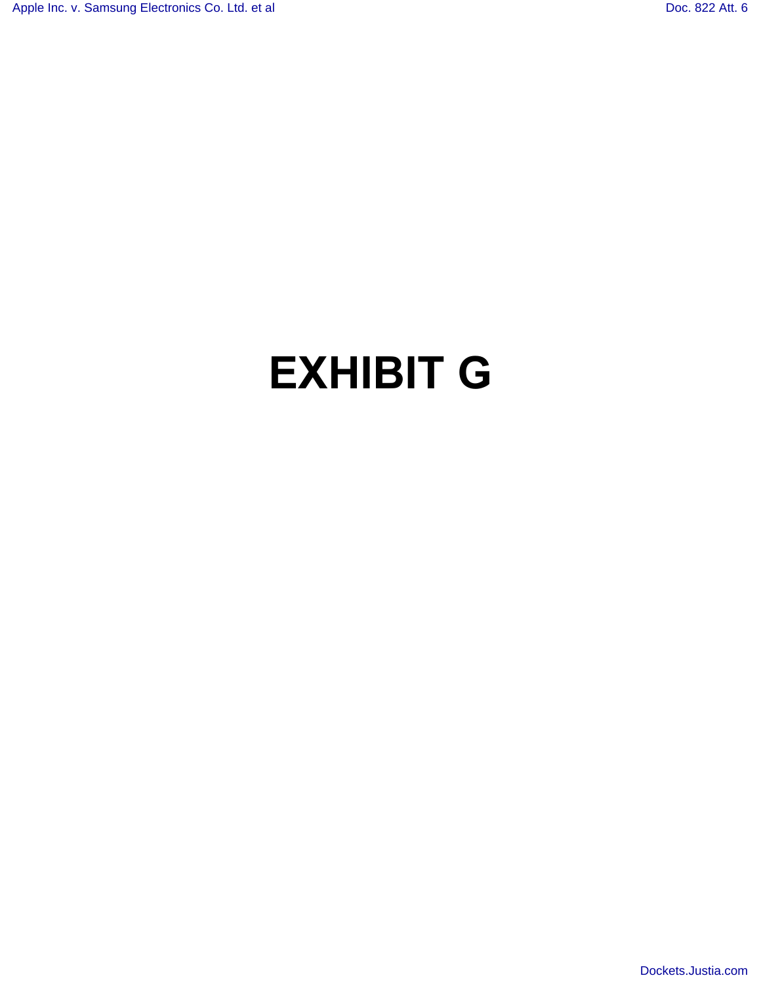## **EXHIBIT G**

[Dockets.Justia.com](http://dockets.justia.com/)